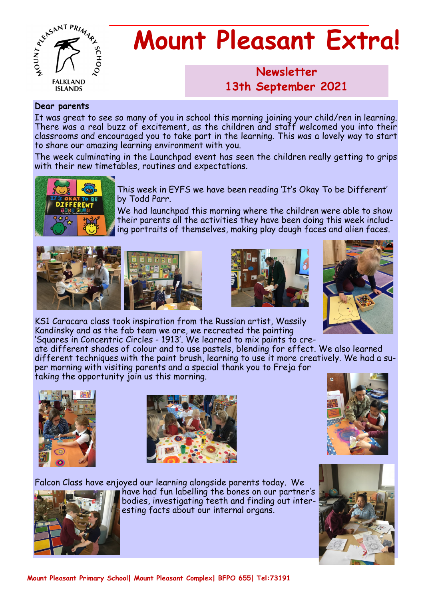

# **Mount Pleasant Extra!**

## **Newsletter 1986 13th September 2021**

#### **Dear parents**

It was great to see so many of you in school this morning joining your child/ren in learning. There was a real buzz of excitement, as the children and staff welcomed you into their classrooms and encouraged you to take part in the learning. This was a lovely way to start to share our amazing learning environment with you.

The week culminating in the Launchpad event has seen the children really getting to grips with their new timetables, routines and expectations.



This week in EYFS we have been reading 'It's Okay To be Different' by Todd Parr.

We had launchpad this morning where the children were able to show their parents all the activities they have been doing this week including portraits of themselves, making play dough faces and alien faces.









KS1 Caracara class took inspiration from the Russian artist, Wassily Kandinsky and as the fab team we are, we recreated the painting 'Squares in Concentric Circles - 1913'. We learned to mix paints to cre-

ate different shades of colour and to use pastels, blending for effect. We also learned different techniques with the paint brush, learning to use it more creatively. We had a super morning with visiting parents and a special thank you to Freja for taking the opportunity join us this morning.









have had fun labelling the bones on our partner's bodies, investigating teeth and finding out interesting facts about our internal organs.